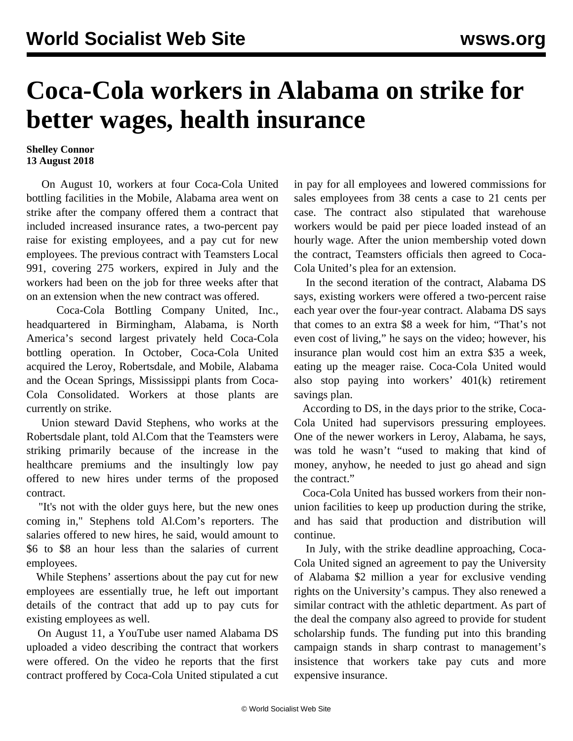## **Coca-Cola workers in Alabama on strike for better wages, health insurance**

## **Shelley Connor 13 August 2018**

 On August 10, workers at four Coca-Cola United bottling facilities in the Mobile, Alabama area went on strike after the company offered them a contract that included increased insurance rates, a two-percent pay raise for existing employees, and a pay cut for new employees. The previous contract with Teamsters Local 991, covering 275 workers, expired in July and the workers had been on the job for three weeks after that on an extension when the new contract was offered.

 Coca-Cola Bottling Company United, Inc., headquartered in Birmingham, Alabama, is North America's second largest privately held Coca-Cola bottling operation. In October, Coca-Cola United acquired the Leroy, Robertsdale, and Mobile, Alabama and the Ocean Springs, Mississippi plants from Coca-Cola Consolidated. Workers at those plants are currently on strike.

 Union steward David Stephens, who works at the Robertsdale plant, told Al.Com that the Teamsters were striking primarily because of the increase in the healthcare premiums and the insultingly low pay offered to new hires under terms of the proposed contract.

 "It's not with the older guys here, but the new ones coming in," Stephens told Al.Com's reporters. The salaries offered to new hires, he said, would amount to \$6 to \$8 an hour less than the salaries of current employees.

 While Stephens' assertions about the pay cut for new employees are essentially true, he left out important details of the contract that add up to pay cuts for existing employees as well.

 On August 11, a YouTube user named Alabama DS uploaded a video describing the contract that workers were offered. On the video he reports that the first contract proffered by Coca-Cola United stipulated a cut

in pay for all employees and lowered commissions for sales employees from 38 cents a case to 21 cents per case. The contract also stipulated that warehouse workers would be paid per piece loaded instead of an hourly wage. After the union membership voted down the contract, Teamsters officials then agreed to Coca-Cola United's plea for an extension.

 In the second iteration of the contract, Alabama DS says, existing workers were offered a two-percent raise each year over the four-year contract. Alabama DS says that comes to an extra \$8 a week for him, "That's not even cost of living," he says on the video; however, his insurance plan would cost him an extra \$35 a week, eating up the meager raise. Coca-Cola United would also stop paying into workers' 401(k) retirement savings plan.

 According to DS, in the days prior to the strike, Coca-Cola United had supervisors pressuring employees. One of the newer workers in Leroy, Alabama, he says, was told he wasn't "used to making that kind of money, anyhow, he needed to just go ahead and sign the contract."

 Coca-Cola United has bussed workers from their nonunion facilities to keep up production during the strike, and has said that production and distribution will continue.

 In July, with the strike deadline approaching, Coca-Cola United signed an agreement to pay the University of Alabama \$2 million a year for exclusive vending rights on the University's campus. They also renewed a similar contract with the athletic department. As part of the deal the company also agreed to provide for student scholarship funds. The funding put into this branding campaign stands in sharp contrast to management's insistence that workers take pay cuts and more expensive insurance.